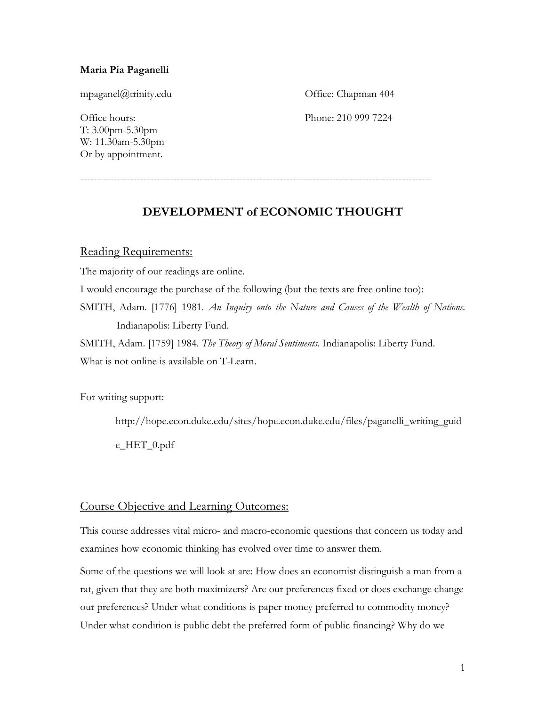#### **Maria Pia Paganelli**

[mpaganel@trinity.edu](mailto:mpaganel@trinity.edu) Office: Chapman 404 Office hours: Phone: 210 999 7224 T: 3.00pm-5.30pm W: 11.30am-5.30pm Or by appointment.

----------------------------------------------------------------------------------------------------------

# **DEVELOPMENT of ECONOMIC THOUGHT**

#### Reading Requirements:

The majority of our readings are online.

I would encourage the purchase of the following (but the texts are free online too):

SMITH, Adam. [1776] 1981. *An Inquiry onto the Nature and Causes of the Wealth of Nations.* Indianapolis: Liberty Fund.

SMITH, Adam. [1759] 1984. *The Theory of Moral Sentiments*. Indianapolis: Liberty Fund. What is not online is available on T-Learn.

For writing support:

http://hope.econ.duke.edu/sites/hope.econ.duke.edu/files/paganelli\_writing\_guid e\_HET\_0.pdf

### Course Objective and Learning Outcomes:

This course addresses vital micro- and macro-economic questions that concern us today and examines how economic thinking has evolved over time to answer them.

Some of the questions we will look at are: How does an economist distinguish a man from a rat, given that they are both maximizers? Are our preferences fixed or does exchange change our preferences? Under what conditions is paper money preferred to commodity money? Under what condition is public debt the preferred form of public financing? Why do we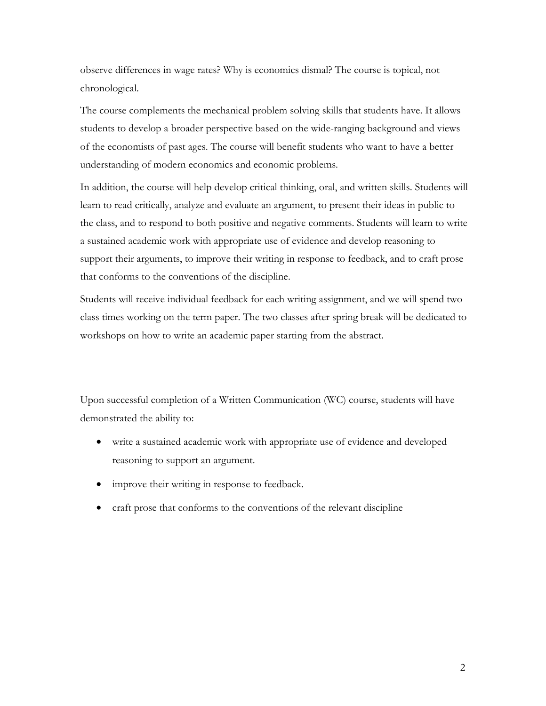observe differences in wage rates? Why is economics dismal? The course is topical, not chronological.

The course complements the mechanical problem solving skills that students have. It allows students to develop a broader perspective based on the wide-ranging background and views of the economists of past ages. The course will benefit students who want to have a better understanding of modern economics and economic problems.

In addition, the course will help develop critical thinking, oral, and written skills. Students will learn to read critically, analyze and evaluate an argument, to present their ideas in public to the class, and to respond to both positive and negative comments. Students will learn to write a sustained academic work with appropriate use of evidence and develop reasoning to support their arguments, to improve their writing in response to feedback, and to craft prose that conforms to the conventions of the discipline.

Students will receive individual feedback for each writing assignment, and we will spend two class times working on the term paper. The two classes after spring break will be dedicated to workshops on how to write an academic paper starting from the abstract.

Upon successful completion of a Written Communication (WC) course, students will have demonstrated the ability to:

- write a sustained academic work with appropriate use of evidence and developed reasoning to support an argument.
- improve their writing in response to feedback.
- craft prose that conforms to the conventions of the relevant discipline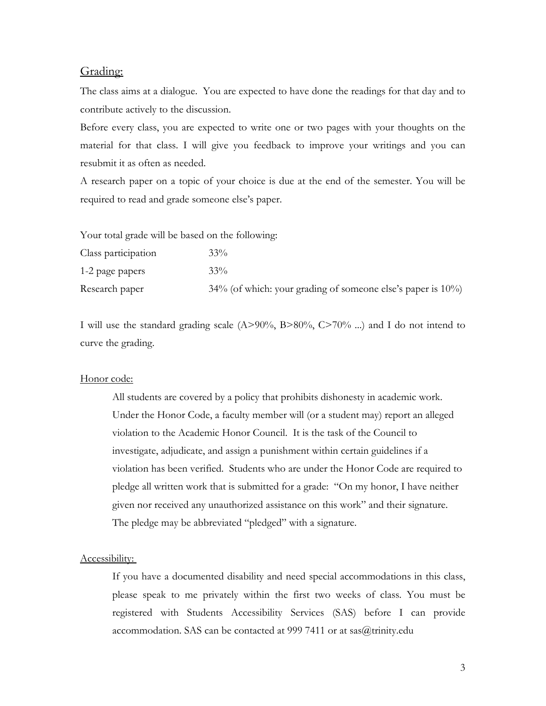#### Grading:

The class aims at a dialogue. You are expected to have done the readings for that day and to contribute actively to the discussion.

Before every class, you are expected to write one or two pages with your thoughts on the material for that class. I will give you feedback to improve your writings and you can resubmit it as often as needed.

A research paper on a topic of your choice is due at the end of the semester. You will be required to read and grade someone else's paper.

Your total grade will be based on the following:

| Class participation | $33\%$                                                             |
|---------------------|--------------------------------------------------------------------|
| 1-2 page papers     | $33\%$                                                             |
| Research paper      | $34\%$ (of which: your grading of someone else's paper is $10\%$ ) |

I will use the standard grading scale (A>90%, B>80%, C>70% ...) and I do not intend to curve the grading.

#### Honor code:

All students are covered by a policy that prohibits dishonesty in academic work. Under the Honor Code, a faculty member will (or a student may) report an alleged violation to the Academic Honor Council. It is the task of the Council to investigate, adjudicate, and assign a punishment within certain guidelines if a violation has been verified. Students who are under the Honor Code are required to pledge all written work that is submitted for a grade: "On my honor, I have neither given nor received any unauthorized assistance on this work" and their signature. The pledge may be abbreviated "pledged" with a signature.

#### Accessibility:

If you have a documented disability and need special accommodations in this class, please speak to me privately within the first two weeks of class. You must be registered with Students Accessibility Services (SAS) before I can provide accommodation. SAS can be contacted at 999 7411 or at  $sas@t$ rinity.edu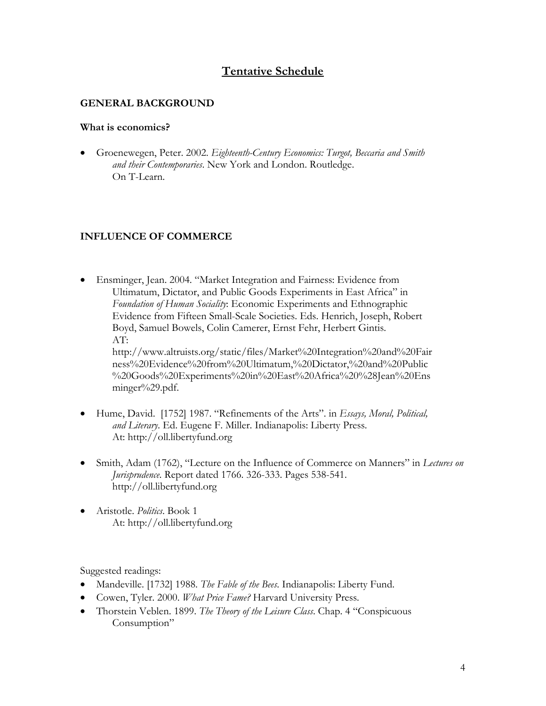# **Tentative Schedule**

### **GENERAL BACKGROUND**

### **What is economics?**

• Groenewegen, Peter. 2002. *Eighteenth-Century Economics: Turgot, Beccaria and Smith and their Contemporaries*. New York and London. Routledge. On T-Learn.

### **INFLUENCE OF COMMERCE**

• Ensminger, Jean. 2004. "Market Integration and Fairness: Evidence from Ultimatum, Dictator, and Public Goods Experiments in East Africa" in *Foundation of Human Sociality*: Economic Experiments and Ethnographic Evidence from Fifteen Small-Scale Societies. Eds. Henrich, Joseph, Robert Boyd, Samuel Bowels, Colin Camerer, Ernst Fehr, Herbert Gintis. AT: [http://www.altruists.org/static/files/Market%20Integration%20and%20Fair](http://www.altruists.org/static/files/Market%20Integration%20and%20Fairness%20Evidence%20from%20Ultimatum,%20Dictator,%20and%20Public%20Goods%20Experiments%20in%20East%20Africa%20%28Jean%20Ensminger%29.pdf)

[ness%20Evidence%20from%20Ultimatum,%20Dictator,%20and%20Public](http://www.altruists.org/static/files/Market%20Integration%20and%20Fairness%20Evidence%20from%20Ultimatum,%20Dictator,%20and%20Public%20Goods%20Experiments%20in%20East%20Africa%20%28Jean%20Ensminger%29.pdf) [%20Goods%20Experiments%20in%20East%20Africa%20%28Jean%20Ens](http://www.altruists.org/static/files/Market%20Integration%20and%20Fairness%20Evidence%20from%20Ultimatum,%20Dictator,%20and%20Public%20Goods%20Experiments%20in%20East%20Africa%20%28Jean%20Ensminger%29.pdf) [minger%29.pdf.](http://www.altruists.org/static/files/Market%20Integration%20and%20Fairness%20Evidence%20from%20Ultimatum,%20Dictator,%20and%20Public%20Goods%20Experiments%20in%20East%20Africa%20%28Jean%20Ensminger%29.pdf)

- Hume, David. [1752] 1987. "Refinements of the Arts". in *Essays, Moral, Political, and Literary*. Ed. Eugene F. Miller. Indianapolis: Liberty Press. At: http://oll.libertyfund.org
- Smith, Adam (1762), "Lecture on the Influence of Commerce on Manners" in *Lectures on Jurisprudence*. Report dated 1766. 326-333. Pages 538-541. [http://oll.libertyfund.org](http://oll.libertyfund.org/)
- Aristotle. *Politics*. Book 1 At: http://oll.libertyfund.org

Suggested readings:

- Mandeville. [1732] 1988. *The Fable of the Bees*. Indianapolis: Liberty Fund.
- Cowen, Tyler. 2000. *What Price Fame?* Harvard University Press.
- Thorstein Veblen. 1899. *The Theory of the Leisure Class*. Chap. 4 ["Conspicuous](http://socserv2.mcmaster.ca/%7Eecon/ugcm/3ll3/veblen/leisure/chap04.txt)  [Consumption"](http://socserv2.mcmaster.ca/%7Eecon/ugcm/3ll3/veblen/leisure/chap04.txt)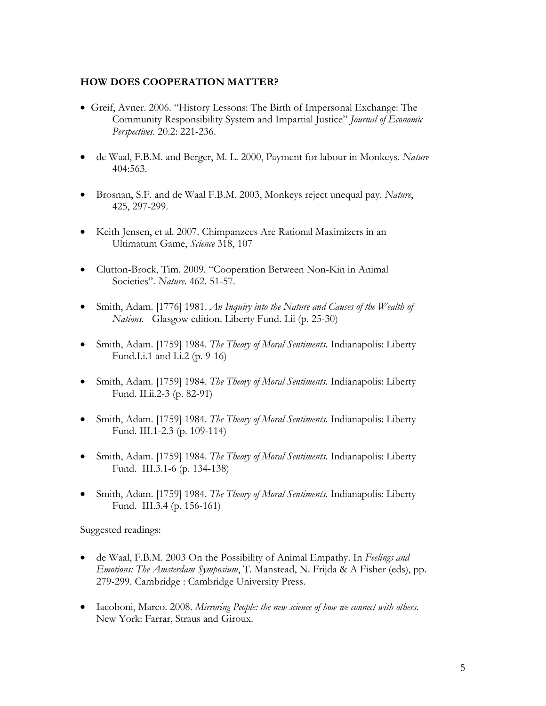### **HOW DOES COOPERATION MATTER?**

- Greif, Avner. 2006. "History Lessons: The Birth of Impersonal Exchange: The Community Responsibility System and Impartial Justice" *Journal of Economic Perspectives*. 20.2: 221-236.
- de Waal, F.B.M. and Berger, M. L. 2000, Payment for labour in Monkeys. *Nature* 404:563.
- Brosnan, S.F. and de Waal F.B.M. 2003, Monkeys reject unequal pay. *Nature*, 425, 297-299.
- Keith Jensen, et al. 2007. Chimpanzees Are Rational Maximizers in an Ultimatum Game, *Science* 318, 107
- Clutton-Brock, Tim. 2009. "Cooperation Between Non-Kin in Animal Societies". *Nature*. 462. 51-57.
- Smith, Adam. [1776] 1981. *[An Inquiry into the Nature and Causes of the Wealth of](http://www.econlib.org/library/Smith/smWN.html)  [Nations.](http://www.econlib.org/library/Smith/smWN.html)* Glasgow edition. Liberty Fund. I.ii (p. 25-30)
- Smith, Adam. [1759] 1984. *The Theory of Moral Sentiments*. Indianapolis: Liberty Fund.I.i.1 and I.i.2 (p. 9-16)
- Smith, Adam. [1759] 1984. *The Theory of Moral Sentiments*. Indianapolis: Liberty Fund. II.ii.2-3 (p. 82-91)
- Smith, Adam. [1759] 1984. *The Theory of Moral Sentiments*. Indianapolis: Liberty Fund. III.1-2.3 (p. 109-114)
- Smith, Adam. [1759] 1984. *The Theory of Moral Sentiments*. Indianapolis: Liberty Fund. III.3.1-6 (p. 134-138)
- Smith, Adam. [1759] 1984. *The Theory of Moral Sentiments*. Indianapolis: Liberty Fund. III.3.4 (p. 156-161)

Suggested readings:

- de Waal, F.B.M. 2003 On the Possibility of Animal Empathy. In *Feelings and Emotions: The Amsterdam Symposium*, T. Manstead, N. Frijda & A Fisher (eds), pp. 279-299. Cambridge : Cambridge University Press.
- Iacoboni, Marco. 2008. *Mirroring People: the new science of how we connect with others*. New York: Farrar, Straus and Giroux.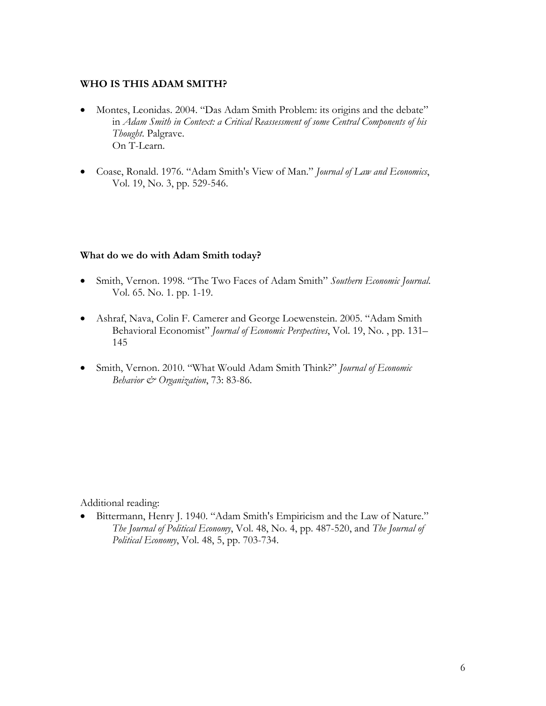### **WHO IS THIS ADAM SMITH?**

- Montes, Leonidas. 2004. "Das Adam Smith Problem: its origins and the debate" in *Adam Smith in Context: a Critical Reassessment of some Central Components of his Thought*. Palgrave. On T-Learn.
- Coase, Ronald. 1976. "Adam [Smith's View of Man.](http://www.jstor.org/view/00222186/ap020032/02a00060/0?frame=noframe&userID=d8a50150@nyu.edu/01cc993341005017d1bdb&dpi=3&config=jstor)" *Journal of Law and Economics*, Vol. 19, No. 3, pp. 529-546.

### **What do we do with Adam Smith today?**

- Smith, Vernon. 1998. "The Two Faces of Adam Smith" *Southern Economic Journal*. Vol. 65. No. 1. pp. 1-19.
- Ashraf, Nava, Colin F. Camerer and George Loewenstein. 2005. "Adam Smith Behavioral Economist" *Journal of Economic Perspectives*, Vol. 19, No. , pp. 131– 145
- Smith, Vernon. 2010. "What Would Adam Smith Think?" *Journal of Economic Behavior & Organization*, 73: 83-86.

Additional reading:

• Bittermann, Henry J. 1940. "Adam Smith's Empiricism and the Law of Nature." *The Journal of Political Economy*, Vol. 48, No. 4, pp. 487-520, and *The Journal of Political Economy*, Vol. 48, 5, pp. 703-734.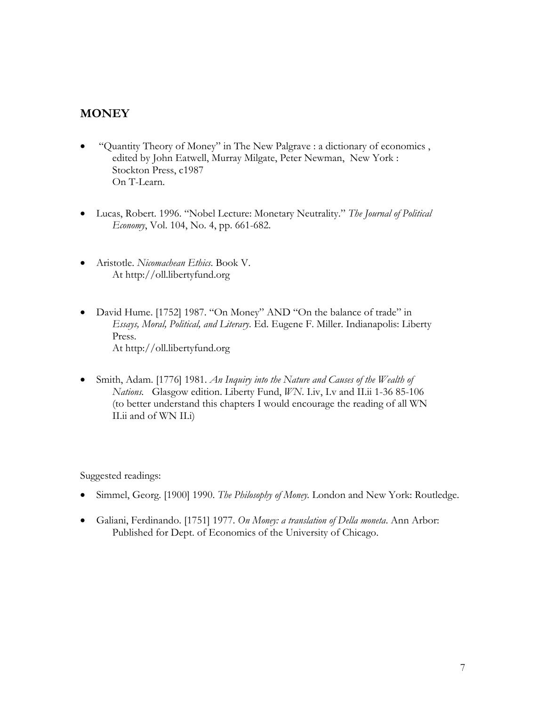# **MONEY**

- "Quantity Theory of Money" in The New Palgrave : a dictionary of economics , edited by John Eatwell, Murray Milgate, Peter Newman, New York : Stockton Press, c1987 On T-Learn.
- Lucas, Robert. 1996. "Nobel Lecture: Monetary Neutrality." *The Journal of Political Economy*, Vol. 104, No. 4, pp. 661-682.
- Aristotle. *Nicomachean Ethics*. Book V. At http://oll.libertyfund.org
- David Hume. [1752] 1987. "On Money" AND "On the balance of trade" in *Essays, Moral, Political, and Literary*. Ed. Eugene F. Miller. Indianapolis: Liberty Press. At http://oll.libertyfund.org
- Smith, Adam. [1776] 1981. *[An Inquiry into the Nature and Causes of the Wealth of](http://www.econlib.org/library/Smith/smWN.html)  [Nations.](http://www.econlib.org/library/Smith/smWN.html)* Glasgow edition. Liberty Fund, *WN*. I.iv, I.v and II.ii 1-36 85-106 (to better understand this chapters I would encourage the reading of all WN II.ii and of WN II.i)

Suggested readings:

- Simmel, Georg. [1900] 1990. *The Philosophy of Money.* London and New York: Routledge.
- Galiani, Ferdinando. [1751] 1977. *On Money: a translation of Della moneta*. Ann Arbor: Published for Dept. of Economics of the University of Chicago.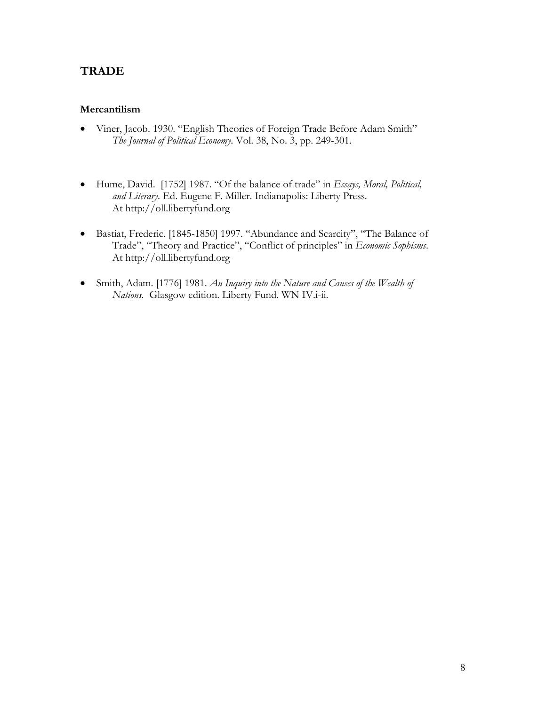## **TRADE**

### **Mercantilism**

- Viner, Jacob. 1930. "English Theories of Foreign Trade Before Adam Smith" *[The Journal of Political Economy](http://www.jstor.org/browse/00223808)*. [Vol. 38, No. 3,](http://www.jstor.org/browse/00223808/di950694) pp. 249-301.
- Hume, David. [1752] 1987. "Of the balance of trade" in *Essays, Moral, Political, and Literary*. Ed. Eugene F. Miller. Indianapolis: Liberty Press. At [http://oll.libertyfund.org](http://oll.libertyfund.org/)
- Bastiat, Frederic. [1845-1850] 1997. "Abundance and Scarcity", "The Balance of Trade", "Theory and Practice", "Conflict of principles" in *Economic Sophisms*. At [http://oll.libertyfund.org](http://oll.libertyfund.org/)
- Smith, Adam. [1776] 1981. *[An Inquiry into the Nature and Causes of the Wealth of](http://www.econlib.org/library/Smith/smWN.html)  [Nations.](http://www.econlib.org/library/Smith/smWN.html)* Glasgow edition. Liberty Fund. WN IV.i-ii.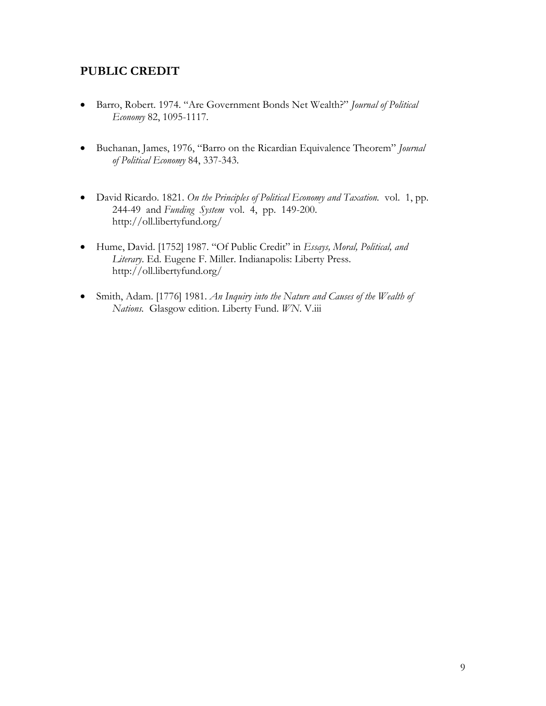## **PUBLIC CREDIT**

- Barro, Robert. 1974. "Are Government Bonds Net Wealth?" *Journal of Political Economy* 82, 1095-1117.
- Buchanan, James, 1976, "Barro on the Ricardian Equivalence Theorem" *Journal of Political Economy* 84, 337-343.
- David Ricardo. 1821. *On the Principles of Political Economy and Taxation.* vol. 1, pp. 244-49 and *Funding System* vol. 4, pp. 149-200. <http://oll.libertyfund.org/>
- Hume, David. [1752] 1987. "Of Public Credit" in *Essays, Moral, Political, and Literary*. Ed. Eugene F. Miller. Indianapolis: Liberty Press. http://oll.libertyfund.org/
- Smith, Adam. [1776] 1981. *[An Inquiry into the Nature and Causes of the Wealth of](http://www.econlib.org/library/Smith/smWN.html)  [Nations.](http://www.econlib.org/library/Smith/smWN.html)* Glasgow edition. Liberty Fund. *WN*. V.iii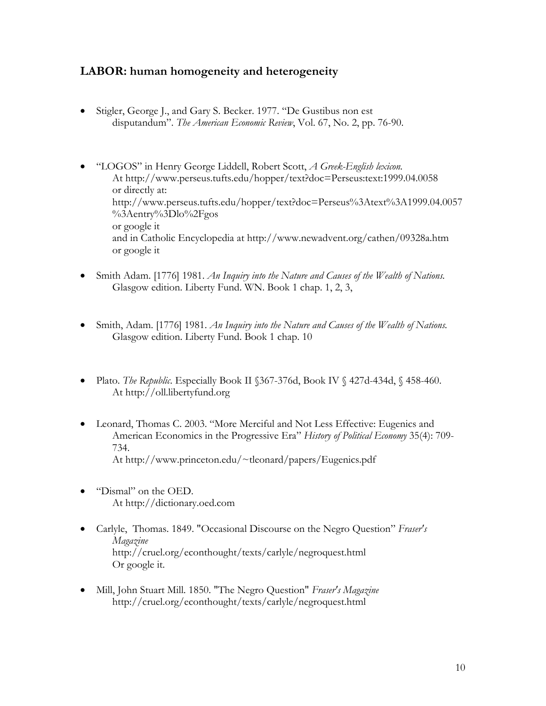### **LABOR: human homogeneity and heterogeneity**

- Stigler, George J., and Gary S. Becker. 1977. "De Gustibus non est disputandum". *The American Economic Review*, Vol. 67, No. 2, pp. 76-90.
- "LOGOS" in Henry George Liddell, Robert Scott, *A Greek-English lexicon.* At <http://www.perseus.tufts.edu/hopper/text?doc=Perseus:text:1999.04.0058> or directly at: [http://www.perseus.tufts.edu/hopper/text?doc=Perseus%3Atext%3A1999.04.0057](http://www.perseus.tufts.edu/hopper/text?doc=Perseus%3Atext%3A1999.04.0057%3Aentry%3Dlo%2Fgos) [%3Aentry%3Dlo%2Fgos](http://www.perseus.tufts.edu/hopper/text?doc=Perseus%3Atext%3A1999.04.0057%3Aentry%3Dlo%2Fgos) or google it and in Catholic Encyclopedia at http://www.newadvent.org/cathen/09328a.htm or google it
- Smith Adam. [1776] 1981. *[An Inquiry into the Nature and Causes of the Wealth of Nations.](http://www.econlib.org/library/Smith/smWN.html)* Glasgow edition. Liberty Fund. WN. Book 1 chap. 1, 2, 3,
- Smith, Adam. [1776] 1981. *[An Inquiry into the Nature and Causes of the Wealth of Nations.](http://www.econlib.org/library/Smith/smWN.html)* Glasgow edition. Liberty Fund. Book 1 chap. 10
- Plato. *The Republic*. Especially Book II §367-376d, Book IV § 427d-434d, § 458-460. At http://oll.libertyfund.org
- Leonard, Thomas C. 2003. ["More Merciful and Not Less Effective: Eugenics and](http://www.princeton.edu/%7Etleonard/papers/Eugenics.pdf)  [American Economics in the Progressive Era"](http://www.princeton.edu/%7Etleonard/papers/Eugenics.pdf) *History of Political Economy* 35(4): 709- 734. At [http://www.princeton.edu/~tleonard/papers/Eugenics.pdf](http://www.princeton.edu/%7Etleonard/papers/Eugenics.pdf)
- "Dismal" on the OED. At [http://dictionary.oed.com](http://dictionary.oed.com/)
- Carlyle, Thomas. 1849. ["Occasional Discourse on the Negro Question"](http://cepa.newschool.edu/het/texts/carlyle/carlodnq.htm) *Fraser's Magazine*  <http://cruel.org/econthought/texts/carlyle/negroquest.html> Or google it.
- Mill, John Stuart Mill. 1850. ["The Negro Question"](http://cepa.newschool.edu/het/texts/carlyle/millnegro.htm) *Fraser's Magazine* <http://cruel.org/econthought/texts/carlyle/negroquest.html>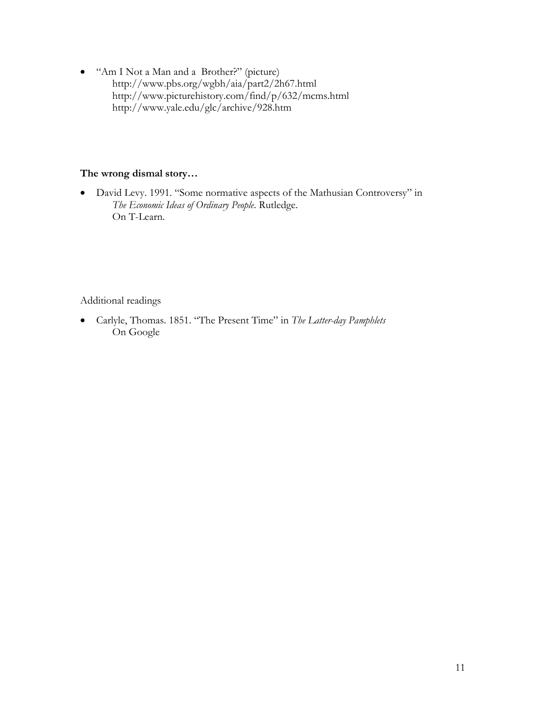• "Am I Not a Man and a Brother?" (picture) http://www.pbs.org/wgbh/aia/part2/2h67.html <http://www.picturehistory.com/find/p/632/mcms.html> <http://www.yale.edu/glc/archive/928.htm>

#### **The wrong dismal story…**

• David Levy. 1991. "Some normative aspects of the Mathusian Controversy" in *The Economic Ideas of Ordinary People*. Rutledge. On T-Learn.

Additional readings

• Carlyle, Thomas. 1851. "The Present Time" in *The Latter-day Pamphlets* On Google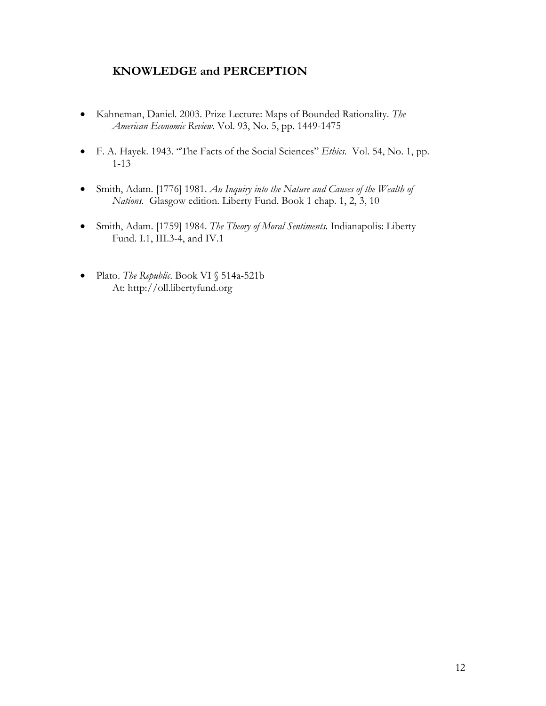## **KNOWLEDGE and PERCEPTION**

- Kahneman, Daniel. 2003. Prize Lecture: Maps of Bounded Rationality. *[The](http://www.jstor.org/browse/00028282)  [American Economic Review](http://www.jstor.org/browse/00028282)*. [Vol. 93, No. 5,](http://www.jstor.org/browse/00028282/sp040005) pp. 1449-1475
- F. A. Hayek. 1943. "The Facts of the Social Sciences" *Ethics*. [Vol. 54, No. 1,](http://www.jstor.org/browse/00141704/di994744) pp. 1-13
- Smith, Adam. [1776] 1981. *An Inquiry [into the Nature and Causes of the Wealth of](http://www.econlib.org/library/Smith/smWN.html)  [Nations.](http://www.econlib.org/library/Smith/smWN.html)* Glasgow edition. Liberty Fund. Book 1 chap. 1, 2, 3, 10
- Smith, Adam. [1759] 1984. *The Theory of Moral Sentiments*. Indianapolis: Liberty Fund. I.1, III.3-4, and IV.1
- Plato. *The Republic*. Book VI § 514a-521b At: http://oll.libertyfund.org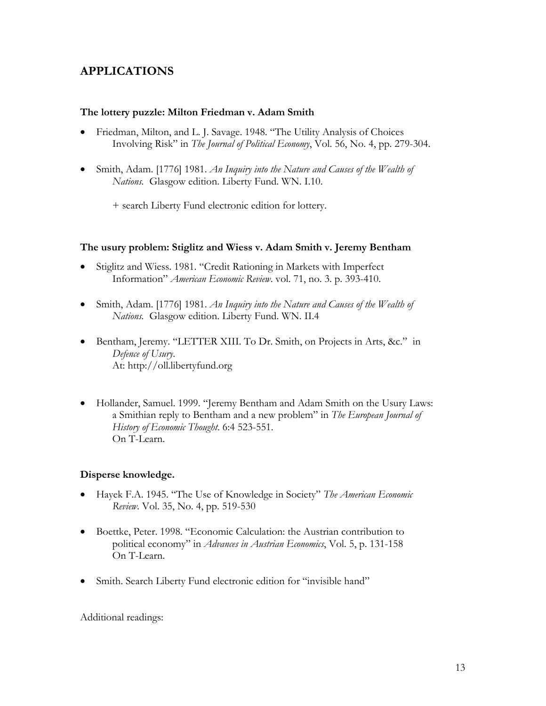# **APPLICATIONS**

#### **The lottery puzzle: Milton Friedman v. Adam Smith**

- Friedman, Milton, and L. J. Savage. 1948. "The Utility Analysis of Choices Involving Risk" in *The Journal of Political Economy*, Vol. 56, No. 4, pp. 279-304.
- Smith, Adam. [1776] 1981. *[An Inquiry into the Nature and Causes of the Wealth of](http://www.econlib.org/library/Smith/smWN.html)  [Nations.](http://www.econlib.org/library/Smith/smWN.html)* Glasgow edition. Liberty Fund. WN. I.10.

+ search Liberty Fund electronic edition for lottery.

#### **The usury problem: Stiglitz and Wiess v. Adam Smith v. Jeremy Bentham**

- Stiglitz and Wiess. 1981. "Credit Rationing in Markets with Imperfect Information" *American Economic Review*. vol. 71, no. 3. p. 393-410.
- Smith, Adam. [1776] 1981. *[An Inquiry into the Nature and Causes of the Wealth of](http://www.econlib.org/library/Smith/smWN.html)  [Nations.](http://www.econlib.org/library/Smith/smWN.html)* Glasgow edition. Liberty Fund. WN. II.4
- Bentham, Jeremy. ["LETTER XIII.](http://www.econlib.org/library/Bentham/bnthUs3.html#LETTER%20XIII.%20To%20Dr.%20Smith,%20on%20Projects%20in%20Arts) To Dr. Smith, on Projects in Arts, &c." in *Defence of Usury*. At: http://oll.libertyfund.org
- Hollander, Samuel. 1999. "Jeremy Bentham and Adam Smith on the Usury Laws: a Smithian reply to Bentham and a new problem" in *The European Journal of History of Economic Thought*. 6:4 523-551. On T-Learn.

#### **Disperse knowledge.**

- Hayek F.A. 1945. "The Use of Knowledge in Society" *[The American Economic](http://www.jstor.org/browse/00028282)  [Review](http://www.jstor.org/browse/00028282)*. [Vol. 35, No. 4,](http://www.jstor.org/browse/00028282/di950315) pp. 519-530
- Boettke, Peter. 1998. "Economic Calculation: the Austrian contribution to political economy" in *Advances in Austrian Economics*, Vol. 5, p. 131-158 On T-Learn.
- Smith. Search Liberty Fund electronic edition for "invisible hand"

Additional readings: